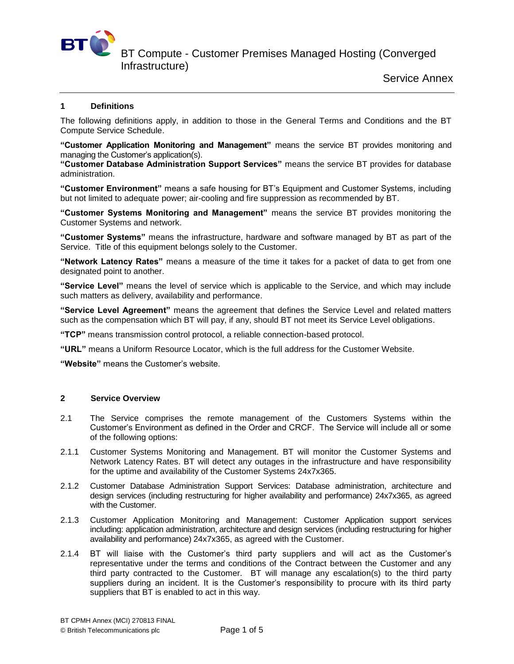

BT Compute - Customer Premises Managed Hosting (Converged

Infrastructure)

# **1 Definitions**

The following definitions apply, in addition to those in the General Terms and Conditions and the BT Compute Service Schedule.

**"Customer Application Monitoring and Management"** means the service BT provides monitoring and managing the Customer's application(s).

**"Customer Database Administration Support Services"** means the service BT provides for database administration.

**"Customer Environment"** means a safe housing for BT's Equipment and Customer Systems, including but not limited to adequate power; air-cooling and fire suppression as recommended by BT.

**"Customer Systems Monitoring and Management"** means the service BT provides monitoring the Customer Systems and network.

**"Customer Systems"** means the infrastructure, hardware and software managed by BT as part of the Service. Title of this equipment belongs solely to the Customer.

**"Network Latency Rates"** means a measure of the time it takes for a packet of data to get from one designated point to another.

**"Service Level"** means the level of service which is applicable to the Service, and which may include such matters as delivery, availability and performance.

**"Service Level Agreement"** means the agreement that defines the Service Level and related matters such as the compensation which BT will pay, if any, should BT not meet its Service Level obligations.

**"TCP"** means transmission control protocol, a reliable connection-based protocol.

**"URL"** means a Uniform Resource Locator, which is the full address for the Customer Website.

**"Website"** means the Customer's website.

# **2 Service Overview**

- 2.1 The Service comprises the remote management of the Customers Systems within the Customer's Environment as defined in the Order and CRCF. The Service will include all or some of the following options:
- 2.1.1 Customer Systems Monitoring and Management. BT will monitor the Customer Systems and Network Latency Rates. BT will detect any outages in the infrastructure and have responsibility for the uptime and availability of the Customer Systems 24x7x365.
- 2.1.2 Customer Database Administration Support Services: Database administration, architecture and design services (including restructuring for higher availability and performance) 24x7x365, as agreed with the Customer.
- 2.1.3 Customer Application Monitoring and Management: Customer Application support services including: application administration, architecture and design services (including restructuring for higher availability and performance) 24x7x365, as agreed with the Customer.
- 2.1.4 BT will liaise with the Customer's third party suppliers and will act as the Customer's representative under the terms and conditions of the Contract between the Customer and any third party contracted to the Customer. BT will manage any escalation(s) to the third party suppliers during an incident. It is the Customer's responsibility to procure with its third party suppliers that BT is enabled to act in this way.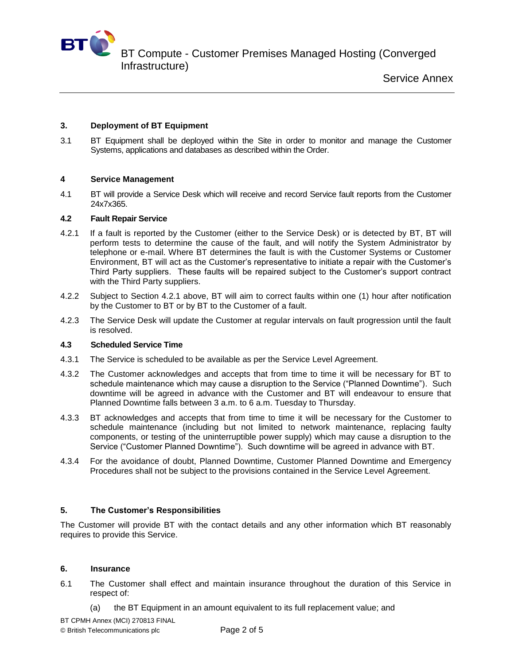

BT Compute - Customer Premises Managed Hosting (Converged Infrastructure)

# **3. Deployment of BT Equipment**

3.1 BT Equipment shall be deployed within the Site in order to monitor and manage the Customer Systems, applications and databases as described within the Order.

# **4 Service Management**

4.1 BT will provide a Service Desk which will receive and record Service fault reports from the Customer 24x7x365.

### **4.2 Fault Repair Service**

- 4.2.1 If a fault is reported by the Customer (either to the Service Desk) or is detected by BT, BT will perform tests to determine the cause of the fault, and will notify the System Administrator by telephone or e-mail. Where BT determines the fault is with the Customer Systems or Customer Environment, BT will act as the Customer's representative to initiate a repair with the Customer's Third Party suppliers. These faults will be repaired subject to the Customer's support contract with the Third Party suppliers.
- 4.2.2 Subject to Section 4.2.1 above, BT will aim to correct faults within one (1) hour after notification by the Customer to BT or by BT to the Customer of a fault.
- 4.2.3 The Service Desk will update the Customer at regular intervals on fault progression until the fault is resolved.

### **4.3 Scheduled Service Time**

- 4.3.1 The Service is scheduled to be available as per the Service Level Agreement.
- 4.3.2 The Customer acknowledges and accepts that from time to time it will be necessary for BT to schedule maintenance which may cause a disruption to the Service ("Planned Downtime"). Such downtime will be agreed in advance with the Customer and BT will endeavour to ensure that Planned Downtime falls between 3 a.m. to 6 a.m. Tuesday to Thursday.
- 4.3.3 BT acknowledges and accepts that from time to time it will be necessary for the Customer to schedule maintenance (including but not limited to network maintenance, replacing faulty components, or testing of the uninterruptible power supply) which may cause a disruption to the Service ("Customer Planned Downtime"). Such downtime will be agreed in advance with BT.
- 4.3.4 For the avoidance of doubt, Planned Downtime, Customer Planned Downtime and Emergency Procedures shall not be subject to the provisions contained in the Service Level Agreement.

### **5. The Customer's Responsibilities**

The Customer will provide BT with the contact details and any other information which BT reasonably requires to provide this Service.

### **6. Insurance**

- 6.1 The Customer shall effect and maintain insurance throughout the duration of this Service in respect of:
	- (a) the BT Equipment in an amount equivalent to its full replacement value; and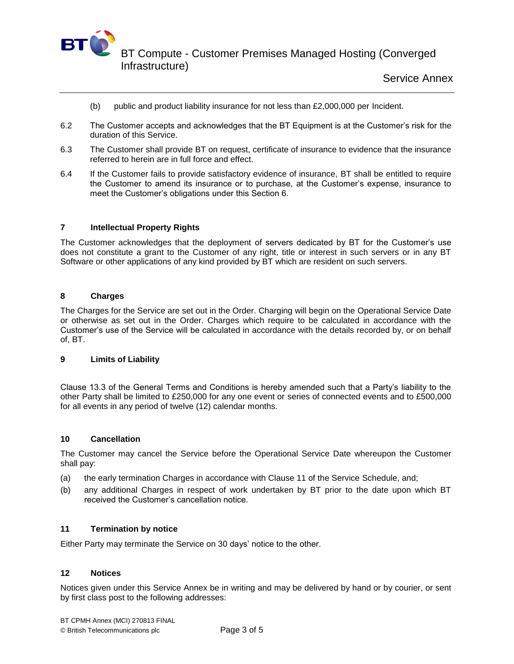

- (b) public and product liability insurance for not less than £2,000,000 per Incident.
- 6.2 The Customer accepts and acknowledges that the BT Equipment is at the Customer's risk for the duration of this Service.
- 6.3 The Customer shall provide BT on request, certificate of insurance to evidence that the insurance referred to herein are in full force and effect.
- 6.4 If the Customer fails to provide satisfactory evidence of insurance, BT shall be entitled to require the Customer to amend its insurance or to purchase, at the Customer's expense, insurance to meet the Customer's obligations under this Section 6.

### **7 Intellectual Property Rights**

The Customer acknowledges that the deployment of servers dedicated by BT for the Customer's use does not constitute a grant to the Customer of any right, title or interest in such servers or in any BT Software or other applications of any kind provided by BT which are resident on such servers.

#### **8 Charges**

The Charges for the Service are set out in the Order. Charging will begin on the Operational Service Date or otherwise as set out in the Order. Charges which require to be calculated in accordance with the Customer's use of the Service will be calculated in accordance with the details recorded by, or on behalf of, BT.

### **9 Limits of Liability**

Clause 13.3 of the General Terms and Conditions is hereby amended such that a Party's liability to the other Party shall be limited to £250,000 for any one event or series of connected events and to £500,000 for all events in any period of twelve (12) calendar months.

#### **10 Cancellation**

The Customer may cancel the Service before the Operational Service Date whereupon the Customer shall pay:

- (a) the early termination Charges in accordance with Clause 11 of the Service Schedule, and;
- (b) any additional Charges in respect of work undertaken by BT prior to the date upon which BT received the Customer's cancellation notice.

#### **11 Termination by notice**

Either Party may terminate the Service on 30 days' notice to the other.

#### **12 Notices**

Notices given under this Service Annex be in writing and may be delivered by hand or by courier, or sent by first class post to the following addresses: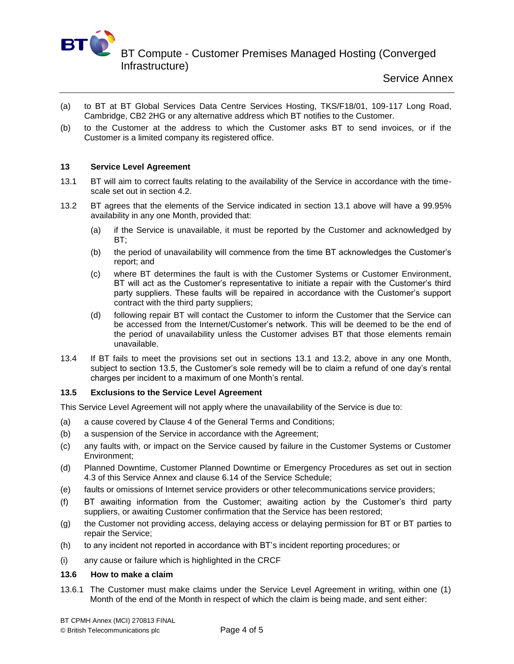

BT Compute - Customer Premises Managed Hosting (Converged Infrastructure)

- (a) to BT at BT Global Services Data Centre Services Hosting, TKS/F18/01, 109-117 Long Road, Cambridge, CB2 2HG or any alternative address which BT notifies to the Customer.
- (b) to the Customer at the address to which the Customer asks BT to send invoices, or if the Customer is a limited company its registered office.

### **13 Service Level Agreement**

- 13.1 BT will aim to correct faults relating to the availability of the Service in accordance with the timescale set out in section 4.2.
- 13.2 BT agrees that the elements of the Service indicated in section 13.1 above will have a 99.95% availability in any one Month, provided that:
	- (a) if the Service is unavailable, it must be reported by the Customer and acknowledged by BT;
	- (b) the period of unavailability will commence from the time BT acknowledges the Customer's report; and
	- (c) where BT determines the fault is with the Customer Systems or Customer Environment, BT will act as the Customer's representative to initiate a repair with the Customer's third party suppliers. These faults will be repaired in accordance with the Customer's support contract with the third party suppliers;
	- (d) following repair BT will contact the Customer to inform the Customer that the Service can be accessed from the Internet/Customer's network. This will be deemed to be the end of the period of unavailability unless the Customer advises BT that those elements remain unavailable.
- 13.4 If BT fails to meet the provisions set out in sections 13.1 and 13.2, above in any one Month, subject to section 13.5, the Customer's sole remedy will be to claim a refund of one day's rental charges per incident to a maximum of one Month's rental.

### **13.5 Exclusions to the Service Level Agreement**

This Service Level Agreement will not apply where the unavailability of the Service is due to:

- (a) a cause covered by Clause 4 of the General Terms and Conditions;
- (b) a suspension of the Service in accordance with the Agreement;
- (c) any faults with, or impact on the Service caused by failure in the Customer Systems or Customer Environment;
- (d) Planned Downtime, Customer Planned Downtime or Emergency Procedures as set out in section 4.3 of this Service Annex and clause 6.14 of the Service Schedule;
- (e) faults or omissions of Internet service providers or other telecommunications service providers;
- (f) BT awaiting information from the Customer; awaiting action by the Customer's third party suppliers, or awaiting Customer confirmation that the Service has been restored;
- (g) the Customer not providing access, delaying access or delaying permission for BT or BT parties to repair the Service;
- (h) to any incident not reported in accordance with BT's incident reporting procedures; or
- (i) any cause or failure which is highlighted in the CRCF

### **13.6 How to make a claim**

13.6.1 The Customer must make claims under the Service Level Agreement in writing, within one (1) Month of the end of the Month in respect of which the claim is being made, and sent either: